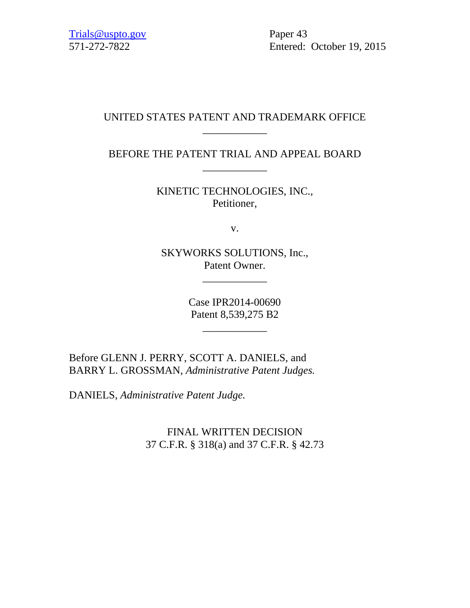571-272-7822 Entered: October 19, 2015

# UNITED STATES PATENT AND TRADEMARK OFFICE \_\_\_\_\_\_\_\_\_\_\_\_

BEFORE THE PATENT TRIAL AND APPEAL BOARD \_\_\_\_\_\_\_\_\_\_\_\_

> KINETIC TECHNOLOGIES, INC., Petitioner,

> > v.

SKYWORKS SOLUTIONS, Inc., Patent Owner.

\_\_\_\_\_\_\_\_\_\_\_\_

Case IPR2014-00690 Patent 8,539,275 B2

\_\_\_\_\_\_\_\_\_\_\_\_

Before GLENN J. PERRY, SCOTT A. DANIELS, and BARRY L. GROSSMAN, *Administrative Patent Judges.*

DANIELS, *Administrative Patent Judge.* 

FINAL WRITTEN DECISION 37 C.F.R. § 318(a) and 37 C.F.R. § 42.73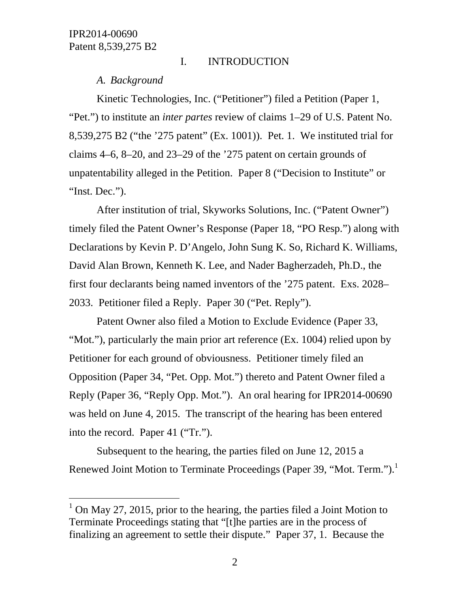$\overline{a}$ 

# I. INTRODUCTION

*A. Background* 

Kinetic Technologies, Inc. ("Petitioner") filed a Petition (Paper 1, "Pet.") to institute an *inter partes* review of claims 1–29 of U.S. Patent No. 8,539,275 B2 ("the '275 patent" (Ex. 1001)). Pet. 1. We instituted trial for claims 4–6, 8–20, and 23–29 of the '275 patent on certain grounds of unpatentability alleged in the Petition. Paper 8 ("Decision to Institute" or "Inst. Dec.").

After institution of trial, Skyworks Solutions, Inc. ("Patent Owner") timely filed the Patent Owner's Response (Paper 18, "PO Resp.") along with Declarations by Kevin P. D'Angelo, John Sung K. So, Richard K. Williams, David Alan Brown, Kenneth K. Lee, and Nader Bagherzadeh, Ph.D., the first four declarants being named inventors of the '275 patent. Exs. 2028– 2033. Petitioner filed a Reply. Paper 30 ("Pet. Reply").

Patent Owner also filed a Motion to Exclude Evidence (Paper 33, "Mot."), particularly the main prior art reference (Ex. 1004) relied upon by Petitioner for each ground of obviousness. Petitioner timely filed an Opposition (Paper 34, "Pet. Opp. Mot.") thereto and Patent Owner filed a Reply (Paper 36, "Reply Opp. Mot."). An oral hearing for IPR2014-00690 was held on June 4, 2015. The transcript of the hearing has been entered into the record. Paper 41 ("Tr.").

Subsequent to the hearing, the parties filed on June 12, 2015 a Renewed Joint Motion to Terminate Proceedings (Paper 39, "Mot. Term."). $<sup>1</sup>$ </sup>

 $1$  On May 27, 2015, prior to the hearing, the parties filed a Joint Motion to Terminate Proceedings stating that "[t]he parties are in the process of finalizing an agreement to settle their dispute." Paper 37, 1. Because the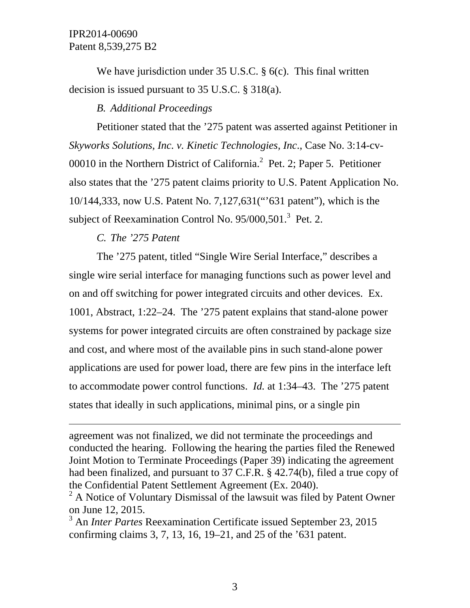We have jurisdiction under 35 U.S.C. § 6(c). This final written decision is issued pursuant to 35 U.S.C. § 318(a).

# *B. Additional Proceedings*

Petitioner stated that the '275 patent was asserted against Petitioner in *Skyworks Solutions, Inc. v. Kinetic Technologies, Inc*., Case No. 3:14-cv-00010 in the Northern District of California. $^2$  Pet. 2; Paper 5. Petitioner also states that the '275 patent claims priority to U.S. Patent Application No. 10/144,333, now U.S. Patent No. 7,127,631("'631 patent"), which is the subject of Reexamination Control No.  $95/000,501$ .<sup>3</sup> Pet. 2.

# *C. The '275 Patent*

 $\overline{a}$ 

The '275 patent, titled "Single Wire Serial Interface," describes a single wire serial interface for managing functions such as power level and on and off switching for power integrated circuits and other devices. Ex. 1001, Abstract, 1:22–24. The '275 patent explains that stand-alone power systems for power integrated circuits are often constrained by package size and cost, and where most of the available pins in such stand-alone power applications are used for power load, there are few pins in the interface left to accommodate power control functions. *Id.* at 1:34–43. The '275 patent states that ideally in such applications, minimal pins, or a single pin

agreement was not finalized, we did not terminate the proceedings and conducted the hearing. Following the hearing the parties filed the Renewed Joint Motion to Terminate Proceedings (Paper 39) indicating the agreement had been finalized, and pursuant to 37 C.F.R. § 42.74(b), filed a true copy of the Confidential Patent Settlement Agreement (Ex. 2040).

 $2^2$  A Notice of Voluntary Dismissal of the lawsuit was filed by Patent Owner on June 12, 2015.

<sup>3</sup> An *Inter Partes* Reexamination Certificate issued September 23, 2015 confirming claims 3, 7, 13, 16, 19–21, and 25 of the '631 patent.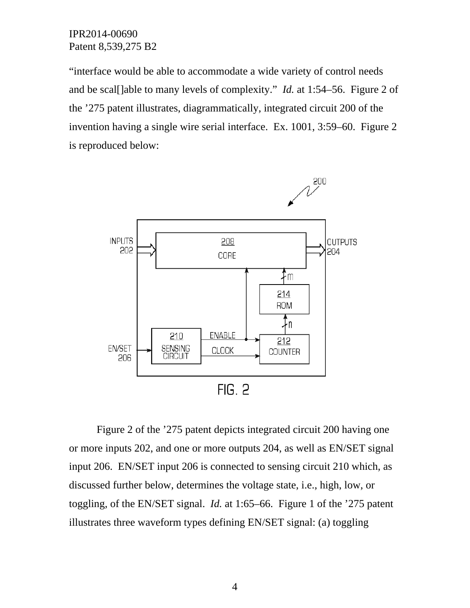"interface would be able to accommodate a wide variety of control needs and be scal[]able to many levels of complexity." *Id.* at 1:54–56. Figure 2 of the '275 patent illustrates, diagrammatically, integrated circuit 200 of the invention having a single wire serial interface. Ex. 1001, 3:59–60. Figure 2 is reproduced below:



Figure 2 of the '275 patent depicts integrated circuit 200 having one or more inputs 202, and one or more outputs 204, as well as EN/SET signal input 206. EN/SET input 206 is connected to sensing circuit 210 which, as discussed further below, determines the voltage state, i.e., high, low, or toggling, of the EN/SET signal. *Id.* at 1:65–66. Figure 1 of the '275 patent illustrates three waveform types defining EN/SET signal: (a) toggling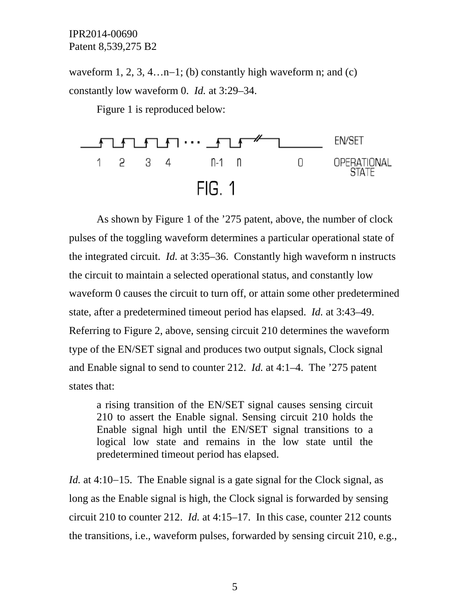waveform 1, 2, 3, 4…n–1; (b) constantly high waveform n; and (c) constantly low waveform 0. *Id.* at 3:29–34.

Figure 1 is reproduced below:



As shown by Figure 1 of the '275 patent, above, the number of clock pulses of the toggling waveform determines a particular operational state of the integrated circuit. *Id.* at 3:35–36. Constantly high waveform n instructs the circuit to maintain a selected operational status, and constantly low waveform 0 causes the circuit to turn off, or attain some other predetermined state, after a predetermined timeout period has elapsed. *Id.* at 3:43–49. Referring to Figure 2, above, sensing circuit 210 determines the waveform type of the EN/SET signal and produces two output signals, Clock signal and Enable signal to send to counter 212. *Id.* at 4:1–4. The '275 patent states that:

a rising transition of the EN/SET signal causes sensing circuit 210 to assert the Enable signal. Sensing circuit 210 holds the Enable signal high until the EN/SET signal transitions to a logical low state and remains in the low state until the predetermined timeout period has elapsed.

*Id.* at 4:10–15. The Enable signal is a gate signal for the Clock signal, as long as the Enable signal is high, the Clock signal is forwarded by sensing circuit 210 to counter 212. *Id.* at 4:15–17. In this case, counter 212 counts the transitions, i.e., waveform pulses, forwarded by sensing circuit 210, e.g.,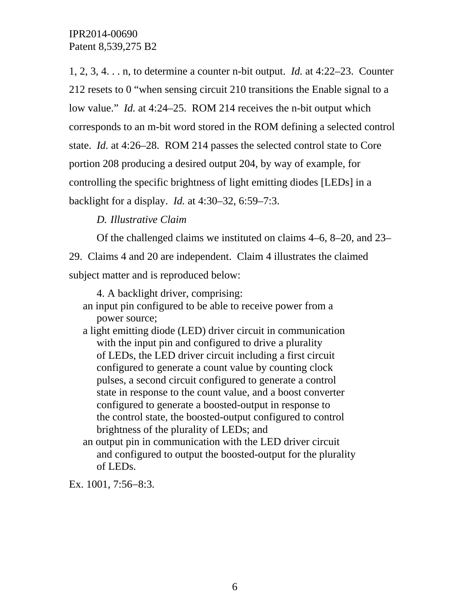1, 2, 3, 4. . . n, to determine a counter n-bit output. *Id.* at 4:22–23. Counter 212 resets to 0 "when sensing circuit 210 transitions the Enable signal to a low value." *Id.* at 4:24–25. ROM 214 receives the n-bit output which corresponds to an m-bit word stored in the ROM defining a selected control state. *Id.* at 4:26–28. ROM 214 passes the selected control state to Core portion 208 producing a desired output 204, by way of example, for controlling the specific brightness of light emitting diodes [LEDs] in a backlight for a display. *Id.* at 4:30–32, 6:59–7:3.

# *D. Illustrative Claim*

Of the challenged claims we instituted on claims 4–6, 8–20, and 23–

29. Claims 4 and 20 are independent. Claim 4 illustrates the claimed subject matter and is reproduced below:

4. A backlight driver, comprising:

- an input pin configured to be able to receive power from a power source;
- a light emitting diode (LED) driver circuit in communication with the input pin and configured to drive a plurality of LEDs, the LED driver circuit including a first circuit configured to generate a count value by counting clock pulses, a second circuit configured to generate a control state in response to the count value, and a boost converter configured to generate a boosted-output in response to the control state, the boosted-output configured to control brightness of the plurality of LEDs; and
- an output pin in communication with the LED driver circuit and configured to output the boosted-output for the plurality of LEDs.

Ex. 1001, 7:56-8:3.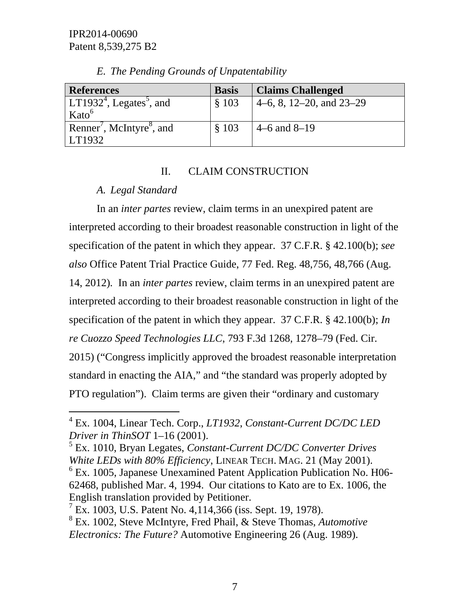| <b>References</b>                                 | <b>Basis</b> | <b>Claims Challenged</b>   |
|---------------------------------------------------|--------------|----------------------------|
| LT1932 <sup>4</sup> , Legates <sup>5</sup> , and  | \$103        | 4–6, 8, 12–20, and $23-29$ |
| Kato <sup>6</sup>                                 |              |                            |
| Renner <sup>'</sup> , McIntyre <sup>8</sup> , and | \$103        | $4-6$ and $8-19$           |
| LT1932                                            |              |                            |

*E. The Pending Grounds of Unpatentability* 

### II. CLAIM CONSTRUCTION

# *A. Legal Standard*

 $\overline{a}$ 

In an *inter partes* review, claim terms in an unexpired patent are interpreted according to their broadest reasonable construction in light of the specification of the patent in which they appear. 37 C.F.R. § 42.100(b); *see also* Office Patent Trial Practice Guide, 77 Fed. Reg. 48,756, 48,766 (Aug. 14, 2012)*.* In an *inter partes* review, claim terms in an unexpired patent are interpreted according to their broadest reasonable construction in light of the specification of the patent in which they appear. 37 C.F.R. § 42.100(b); *In re Cuozzo Speed Technologies LLC*, 793 F.3d 1268, 1278–79 (Fed. Cir. 2015) ("Congress implicitly approved the broadest reasonable interpretation standard in enacting the AIA," and "the standard was properly adopted by PTO regulation"). Claim terms are given their "ordinary and customary

<sup>4</sup> Ex. 1004, Linear Tech. Corp., *LT1932*, *Constant-Current DC/DC LED Driver in ThinSOT* 1–16 (2001).

<sup>5</sup> Ex. 1010, Bryan Legates, *Constant-Current DC/DC Converter Drives White LEDs with 80% Efficiency*, LINEAR TECH. MAG. 21 (May 2001). 6 Ex. 1005, Japanese Unexamined Patent Application Publication No. H06- 62468, published Mar. 4, 1994. Our citations to Kato are to Ex. 1006, the English translation provided by Petitioner.

<sup>&</sup>lt;sup>7</sup> Ex. 1003, U.S. Patent No. 4, 114, 366 (iss. Sept. 19, 1978).

<sup>8</sup> Ex. 1002, Steve McIntyre, Fred Phail, & Steve Thomas, *Automotive Electronics: The Future?* Automotive Engineering 26 (Aug. 1989).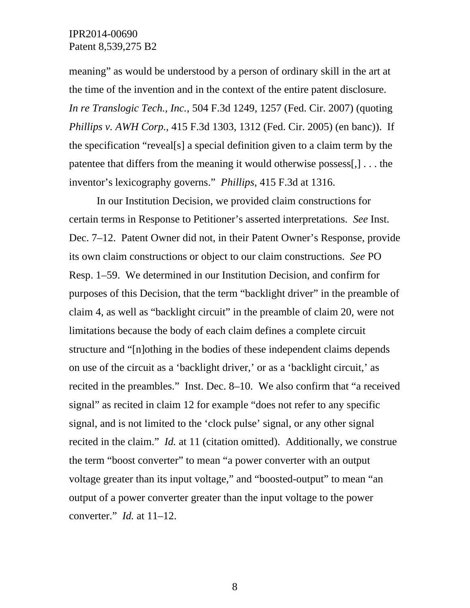meaning" as would be understood by a person of ordinary skill in the art at the time of the invention and in the context of the entire patent disclosure. *In re Translogic Tech., Inc.*, 504 F.3d 1249, 1257 (Fed. Cir. 2007) (quoting *Phillips v. AWH Corp.*, 415 F.3d 1303, 1312 (Fed. Cir. 2005) (en banc)). If the specification "reveal[s] a special definition given to a claim term by the patentee that differs from the meaning it would otherwise possess[,] . . . the inventor's lexicography governs." *Phillips*, 415 F.3d at 1316.

In our Institution Decision, we provided claim constructions for certain terms in Response to Petitioner's asserted interpretations. *See* Inst. Dec. 7–12. Patent Owner did not, in their Patent Owner's Response, provide its own claim constructions or object to our claim constructions. *See* PO Resp. 1–59. We determined in our Institution Decision, and confirm for purposes of this Decision, that the term "backlight driver" in the preamble of claim 4, as well as "backlight circuit" in the preamble of claim 20, were not limitations because the body of each claim defines a complete circuit structure and "[n]othing in the bodies of these independent claims depends on use of the circuit as a 'backlight driver,' or as a 'backlight circuit,' as recited in the preambles." Inst. Dec. 8–10. We also confirm that "a received signal" as recited in claim 12 for example "does not refer to any specific signal, and is not limited to the 'clock pulse' signal, or any other signal recited in the claim." *Id.* at 11 (citation omitted). Additionally, we construe the term "boost converter" to mean "a power converter with an output voltage greater than its input voltage," and "boosted-output" to mean "an output of a power converter greater than the input voltage to the power converter." *Id.* at 11–12.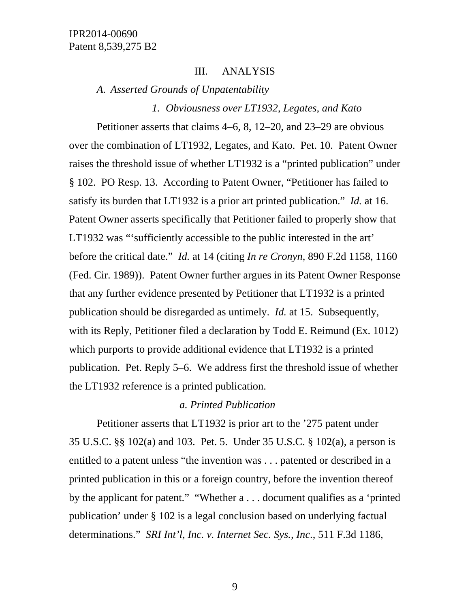### III. ANALYSIS

*A. Asserted Grounds of Unpatentability* 

*1. Obviousness over LT1932, Legates, and Kato* 

Petitioner asserts that claims 4–6, 8, 12–20, and 23–29 are obvious over the combination of LT1932, Legates, and Kato. Pet. 10. Patent Owner raises the threshold issue of whether LT1932 is a "printed publication" under § 102. PO Resp. 13. According to Patent Owner, "Petitioner has failed to satisfy its burden that LT1932 is a prior art printed publication." *Id.* at 16. Patent Owner asserts specifically that Petitioner failed to properly show that LT1932 was "'sufficiently accessible to the public interested in the art' before the critical date." *Id.* at 14 (citing *In re Cronyn*, 890 F.2d 1158, 1160 (Fed. Cir. 1989)). Patent Owner further argues in its Patent Owner Response that any further evidence presented by Petitioner that LT1932 is a printed publication should be disregarded as untimely. *Id.* at 15. Subsequently, with its Reply, Petitioner filed a declaration by Todd E. Reimund (Ex. 1012) which purports to provide additional evidence that LT1932 is a printed publication. Pet. Reply 5–6. We address first the threshold issue of whether the LT1932 reference is a printed publication.

### *a. Printed Publication*

Petitioner asserts that LT1932 is prior art to the '275 patent under 35 U.S.C. §§ 102(a) and 103. Pet. 5. Under 35 U.S.C. § 102(a), a person is entitled to a patent unless "the invention was . . . patented or described in a printed publication in this or a foreign country, before the invention thereof by the applicant for patent." "Whether a . . . document qualifies as a 'printed publication' under § 102 is a legal conclusion based on underlying factual determinations." *SRI Int'l, Inc. v. Internet Sec. Sys., Inc*., 511 F.3d 1186,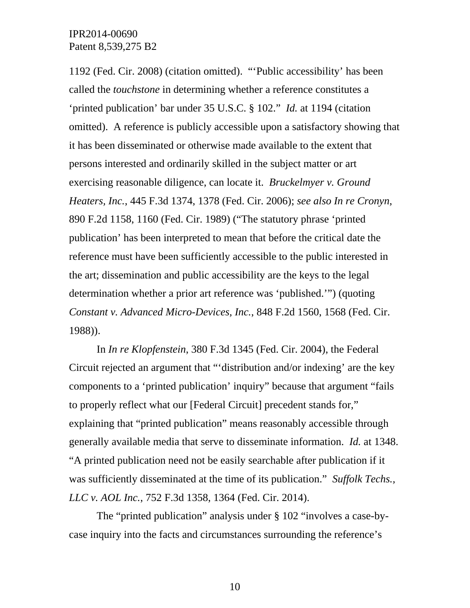1192 (Fed. Cir. 2008) (citation omitted). "'Public accessibility' has been called the *touchstone* in determining whether a reference constitutes a 'printed publication' bar under 35 U.S.C. § 102." *Id.* at 1194 (citation omitted). A reference is publicly accessible upon a satisfactory showing that it has been disseminated or otherwise made available to the extent that persons interested and ordinarily skilled in the subject matter or art exercising reasonable diligence, can locate it. *Bruckelmyer v. Ground Heaters, Inc.*, 445 F.3d 1374, 1378 (Fed. Cir. 2006); *see also In re Cronyn*, 890 F.2d 1158, 1160 (Fed. Cir. 1989) ("The statutory phrase 'printed publication' has been interpreted to mean that before the critical date the reference must have been sufficiently accessible to the public interested in the art; dissemination and public accessibility are the keys to the legal determination whether a prior art reference was 'published.'") (quoting *Constant v. Advanced Micro-Devices, Inc.*, 848 F.2d 1560, 1568 (Fed. Cir. 1988)).

In *In re Klopfenstein*, 380 F.3d 1345 (Fed. Cir. 2004), the Federal Circuit rejected an argument that "'distribution and/or indexing' are the key components to a 'printed publication' inquiry" because that argument "fails to properly reflect what our [Federal Circuit] precedent stands for," explaining that "printed publication" means reasonably accessible through generally available media that serve to disseminate information. *Id.* at 1348. "A printed publication need not be easily searchable after publication if it was sufficiently disseminated at the time of its publication." *Suffolk Techs., LLC v. AOL Inc.*, 752 F.3d 1358, 1364 (Fed. Cir. 2014).

The "printed publication" analysis under § 102 "involves a case-bycase inquiry into the facts and circumstances surrounding the reference's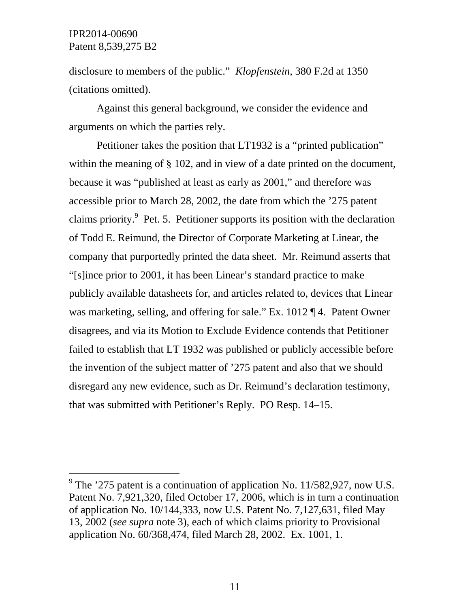$\overline{a}$ 

disclosure to members of the public." *Klopfenstein*, 380 F.2d at 1350 (citations omitted).

Against this general background, we consider the evidence and arguments on which the parties rely.

Petitioner takes the position that LT1932 is a "printed publication" within the meaning of § 102, and in view of a date printed on the document, because it was "published at least as early as 2001," and therefore was accessible prior to March 28, 2002, the date from which the '275 patent claims priority.<sup>9</sup> Pet. 5. Petitioner supports its position with the declaration of Todd E. Reimund, the Director of Corporate Marketing at Linear, the company that purportedly printed the data sheet. Mr. Reimund asserts that "[s]ince prior to 2001, it has been Linear's standard practice to make publicly available datasheets for, and articles related to, devices that Linear was marketing, selling, and offering for sale." Ex. 1012 ¶ 4. Patent Owner disagrees, and via its Motion to Exclude Evidence contends that Petitioner failed to establish that LT 1932 was published or publicly accessible before the invention of the subject matter of '275 patent and also that we should disregard any new evidence, such as Dr. Reimund's declaration testimony, that was submitted with Petitioner's Reply. PO Resp. 14–15.

<sup>&</sup>lt;sup>9</sup> The '275 patent is a continuation of application No. 11/582,927, now U.S. Patent No. 7,921,320, filed October 17, 2006, which is in turn a continuation of application No. 10/144,333, now U.S. Patent No. 7,127,631, filed May 13, 2002 (*see supra* note 3), each of which claims priority to Provisional application No. 60/368,474, filed March 28, 2002. Ex. 1001, 1.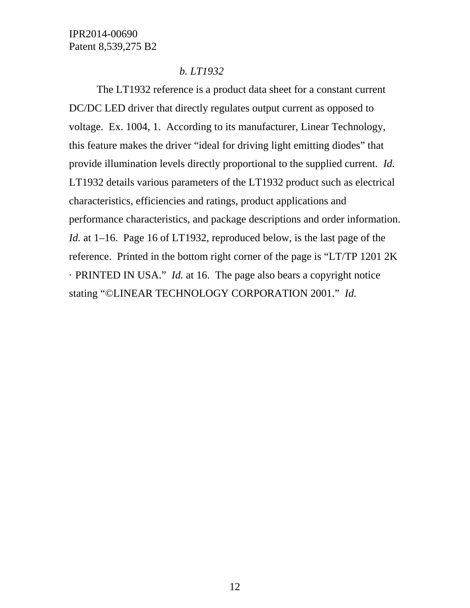# *b. LT1932*

The LT1932 reference is a product data sheet for a constant current DC/DC LED driver that directly regulates output current as opposed to voltage. Ex. 1004, 1. According to its manufacturer, Linear Technology, this feature makes the driver "ideal for driving light emitting diodes" that provide illumination levels directly proportional to the supplied current. *Id.* LT1932 details various parameters of the LT1932 product such as electrical characteristics, efficiencies and ratings, product applications and performance characteristics, and package descriptions and order information. *Id.* at 1–16. Page 16 of LT1932, reproduced below, is the last page of the reference. Printed in the bottom right corner of the page is "LT/TP 1201 2K · PRINTED IN USA." *Id.* at 16. The page also bears a copyright notice stating "©LINEAR TECHNOLOGY CORPORATION 2001." *Id.*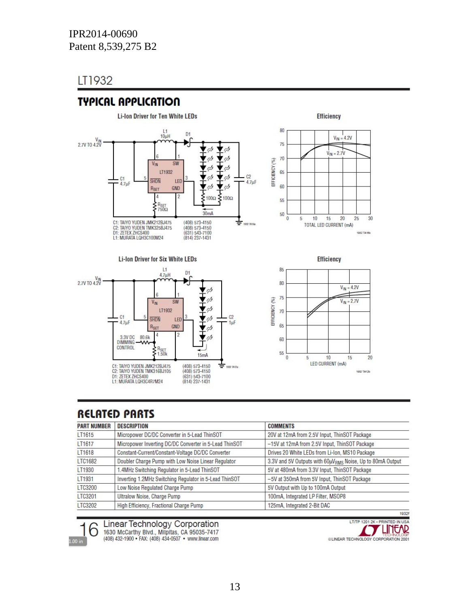# LT1932

# **TYPICAL APPLICATION**







85  $80$  $V_{IN} = 4.2V$  $75\,$ EFFICIENCY (%)  $V_{IN} = 2.7V$  $70$ 65 60 55  $\mathbf{0}$  $10$ 15  $20$ 5 LED CURRENT (mA) 1932 TA12b

**Efficiency** 

# **RELATED PARTS**

| <b>PART NUMBER</b> | <b>DESCRIPTION</b>                                     | <b>COMMENTS</b>                                           |
|--------------------|--------------------------------------------------------|-----------------------------------------------------------|
| LT1615             | Micropower DC/DC Converter in 5-Lead ThinSOT           | 20V at 12mA from 2.5V Input, ThinSOT Package              |
| LT1617             | Micropower Inverting DC/DC Converter in 5-Lead ThinSOT | -15V at 12mA from 2.5V Input, ThinSOT Package             |
| LT1618             | Constant-Current/Constant-Voltage DC/DC Converter      | Drives 20 White LEDs from Li-Ion, MS10 Package            |
| LTC1682            | Doubler Charge Pump with Low Noise Linear Regulator    | 3.3V and 5V Outputs with 60µVRMS Noise, Up to 80mA Output |
| LT1930             | .4MHz Switching Regulator in 5-Lead ThinSOT            | 5V at 480mA from 3.3V Input, ThinSOT Package              |
| LT1931             | Inverting 1.2MHz Switching Regulator in 5-Lead ThinSOT | -5V at 350mA from 5V Input, ThinSOT Package               |
| LTC3200            | Low Noise Regulated Charge Pump                        | 5V Output with Up to 100mA Output                         |
| LTC3201            | Ultralow Noise, Charge Pump                            | 100mA, Integrated LP Filter, MSOP8                        |
| LTC3202            | High Efficiency, Fractional Charge Pump                | 125mA, Integrated 2-Bit DAC                               |



**Linear Technology Corporation** 

1630 McCarthy Blvd., Milpitas, CA 95035-7417<br>(408) 432-1900 • FAX: (408) 434-0507 • www.linear.com

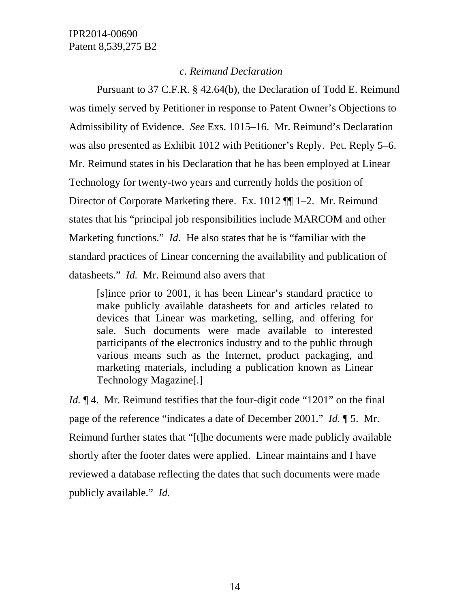### *c. Reimund Declaration*

Pursuant to 37 C.F.R. § 42.64(b), the Declaration of Todd E. Reimund was timely served by Petitioner in response to Patent Owner's Objections to Admissibility of Evidence. *See* Exs. 1015–16. Mr. Reimund's Declaration was also presented as Exhibit 1012 with Petitioner's Reply. Pet. Reply 5–6. Mr. Reimund states in his Declaration that he has been employed at Linear Technology for twenty-two years and currently holds the position of Director of Corporate Marketing there. Ex. 1012 ¶¶ 1–2. Mr. Reimund states that his "principal job responsibilities include MARCOM and other Marketing functions." *Id.* He also states that he is "familiar with the standard practices of Linear concerning the availability and publication of datasheets." *Id.* Mr. Reimund also avers that

[s]ince prior to 2001, it has been Linear's standard practice to make publicly available datasheets for and articles related to devices that Linear was marketing, selling, and offering for sale. Such documents were made available to interested participants of the electronics industry and to the public through various means such as the Internet, product packaging, and marketing materials, including a publication known as Linear Technology Magazine[.]

*Id.*  $\llbracket 4$ . Mr. Reimund testifies that the four-digit code "1201" on the final page of the reference "indicates a date of December 2001." *Id.* ¶ 5. Mr. Reimund further states that "[t]he documents were made publicly available shortly after the footer dates were applied. Linear maintains and I have reviewed a database reflecting the dates that such documents were made publicly available." *Id.*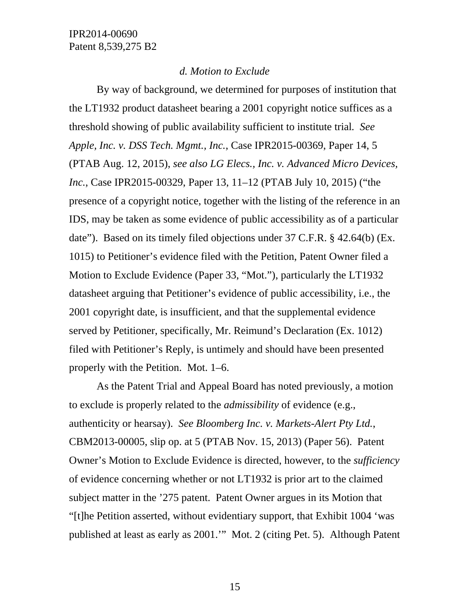### *d. Motion to Exclude*

By way of background, we determined for purposes of institution that the LT1932 product datasheet bearing a 2001 copyright notice suffices as a threshold showing of public availability sufficient to institute trial*. See Apple, Inc. v. DSS Tech. Mgmt., Inc.*, Case IPR2015-00369, Paper 14, 5 (PTAB Aug. 12, 2015), *see also LG Elecs., Inc. v. Advanced Micro Devices, Inc.*, Case IPR2015-00329, Paper 13, 11–12 (PTAB July 10, 2015) ("the presence of a copyright notice, together with the listing of the reference in an IDS, may be taken as some evidence of public accessibility as of a particular date"). Based on its timely filed objections under 37 C.F.R. § 42.64(b) (Ex. 1015) to Petitioner's evidence filed with the Petition, Patent Owner filed a Motion to Exclude Evidence (Paper 33, "Mot."), particularly the LT1932 datasheet arguing that Petitioner's evidence of public accessibility, i.e., the 2001 copyright date, is insufficient, and that the supplemental evidence served by Petitioner, specifically, Mr. Reimund's Declaration (Ex. 1012) filed with Petitioner's Reply, is untimely and should have been presented properly with the Petition. Mot. 1–6.

As the Patent Trial and Appeal Board has noted previously, a motion to exclude is properly related to the *admissibility* of evidence (e.g., authenticity or hearsay). *See Bloomberg Inc. v. Markets-Alert Pty Ltd.*, CBM2013-00005, slip op. at 5 (PTAB Nov. 15, 2013) (Paper 56). Patent Owner's Motion to Exclude Evidence is directed, however, to the *sufficiency* of evidence concerning whether or not LT1932 is prior art to the claimed subject matter in the '275 patent. Patent Owner argues in its Motion that "[t]he Petition asserted, without evidentiary support, that Exhibit 1004 'was published at least as early as 2001.'" Mot. 2 (citing Pet. 5). Although Patent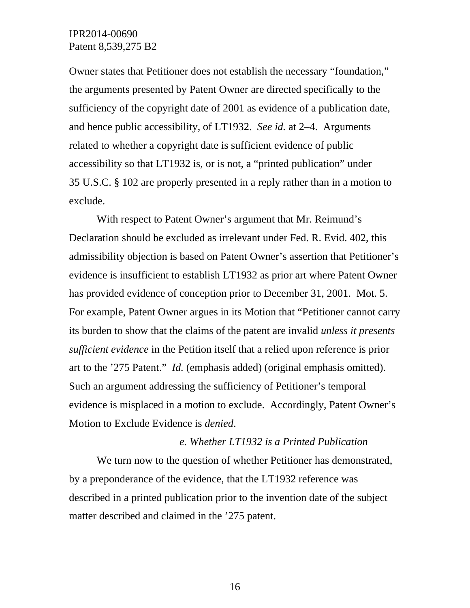Owner states that Petitioner does not establish the necessary "foundation," the arguments presented by Patent Owner are directed specifically to the sufficiency of the copyright date of 2001 as evidence of a publication date, and hence public accessibility, of LT1932. *See id.* at 2–4. Arguments related to whether a copyright date is sufficient evidence of public accessibility so that LT1932 is, or is not, a "printed publication" under 35 U.S.C. § 102 are properly presented in a reply rather than in a motion to exclude.

With respect to Patent Owner's argument that Mr. Reimund's Declaration should be excluded as irrelevant under Fed. R. Evid. 402, this admissibility objection is based on Patent Owner's assertion that Petitioner's evidence is insufficient to establish LT1932 as prior art where Patent Owner has provided evidence of conception prior to December 31, 2001. Mot. 5. For example, Patent Owner argues in its Motion that "Petitioner cannot carry its burden to show that the claims of the patent are invalid *unless it presents sufficient evidence* in the Petition itself that a relied upon reference is prior art to the '275 Patent." *Id.* (emphasis added) (original emphasis omitted). Such an argument addressing the sufficiency of Petitioner's temporal evidence is misplaced in a motion to exclude. Accordingly, Patent Owner's Motion to Exclude Evidence is *denied*.

#### *e. Whether LT1932 is a Printed Publication*

We turn now to the question of whether Petitioner has demonstrated, by a preponderance of the evidence, that the LT1932 reference was described in a printed publication prior to the invention date of the subject matter described and claimed in the '275 patent.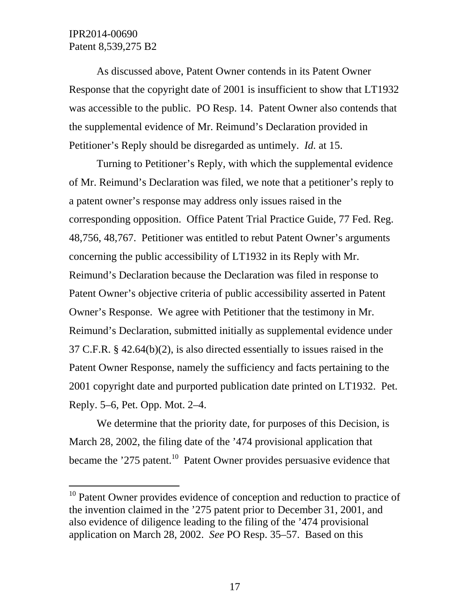l

As discussed above, Patent Owner contends in its Patent Owner Response that the copyright date of 2001 is insufficient to show that LT1932 was accessible to the public. PO Resp. 14. Patent Owner also contends that the supplemental evidence of Mr. Reimund's Declaration provided in Petitioner's Reply should be disregarded as untimely. *Id.* at 15.

Turning to Petitioner's Reply, with which the supplemental evidence of Mr. Reimund's Declaration was filed, we note that a petitioner's reply to a patent owner's response may address only issues raised in the corresponding opposition. Office Patent Trial Practice Guide, 77 Fed. Reg. 48,756, 48,767. Petitioner was entitled to rebut Patent Owner's arguments concerning the public accessibility of LT1932 in its Reply with Mr. Reimund's Declaration because the Declaration was filed in response to Patent Owner's objective criteria of public accessibility asserted in Patent Owner's Response. We agree with Petitioner that the testimony in Mr. Reimund's Declaration, submitted initially as supplemental evidence under 37 C.F.R. § 42.64(b)(2), is also directed essentially to issues raised in the Patent Owner Response, namely the sufficiency and facts pertaining to the 2001 copyright date and purported publication date printed on LT1932. Pet. Reply. 5–6, Pet. Opp. Mot. 2–4.

We determine that the priority date, for purposes of this Decision, is March 28, 2002, the filing date of the '474 provisional application that became the  $275$  patent.<sup>10</sup> Patent Owner provides persuasive evidence that

 $10$  Patent Owner provides evidence of conception and reduction to practice of the invention claimed in the '275 patent prior to December 31, 2001, and also evidence of diligence leading to the filing of the '474 provisional application on March 28, 2002. *See* PO Resp. 35–57. Based on this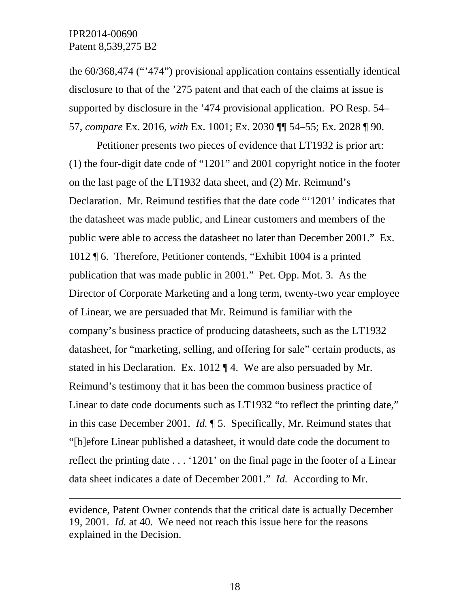-

the 60/368,474 ("'474") provisional application contains essentially identical disclosure to that of the '275 patent and that each of the claims at issue is supported by disclosure in the '474 provisional application. PO Resp. 54– 57, *compare* Ex. 2016, *with* Ex. 1001; Ex. 2030 ¶¶ 54–55; Ex. 2028 ¶ 90.

Petitioner presents two pieces of evidence that LT1932 is prior art: (1) the four-digit date code of "1201" and 2001 copyright notice in the footer on the last page of the LT1932 data sheet, and (2) Mr. Reimund's Declaration. Mr. Reimund testifies that the date code "'1201' indicates that the datasheet was made public, and Linear customers and members of the public were able to access the datasheet no later than December 2001." Ex. 1012 ¶ 6. Therefore, Petitioner contends, "Exhibit 1004 is a printed publication that was made public in 2001." Pet. Opp. Mot. 3. As the Director of Corporate Marketing and a long term, twenty-two year employee of Linear, we are persuaded that Mr. Reimund is familiar with the company's business practice of producing datasheets, such as the LT1932 datasheet, for "marketing, selling, and offering for sale" certain products, as stated in his Declaration. Ex. 1012 ¶ 4. We are also persuaded by Mr. Reimund's testimony that it has been the common business practice of Linear to date code documents such as LT1932 "to reflect the printing date," in this case December 2001. *Id.* ¶ 5. Specifically, Mr. Reimund states that "[b]efore Linear published a datasheet, it would date code the document to reflect the printing date . . . '1201' on the final page in the footer of a Linear data sheet indicates a date of December 2001." *Id.* According to Mr.

evidence, Patent Owner contends that the critical date is actually December 19, 2001. *Id.* at 40. We need not reach this issue here for the reasons explained in the Decision.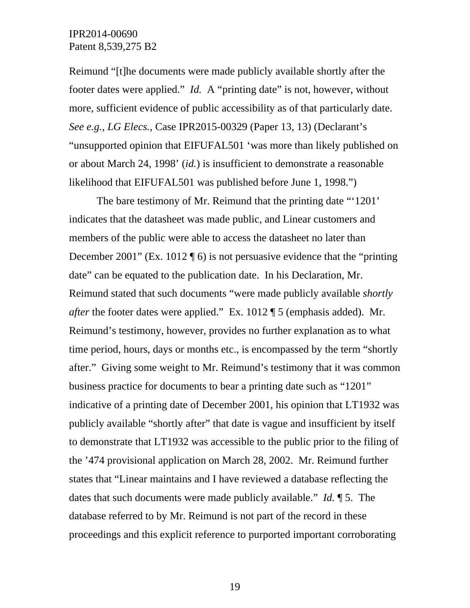Reimund "[t]he documents were made publicly available shortly after the footer dates were applied." *Id.* A "printing date" is not, however, without more, sufficient evidence of public accessibility as of that particularly date. *See e.g., LG Elecs.*, Case IPR2015-00329 (Paper 13, 13) (Declarant's "unsupported opinion that EIFUFAL501 'was more than likely published on or about March 24, 1998' (*id.*) is insufficient to demonstrate a reasonable likelihood that EIFUFAL501 was published before June 1, 1998.")

The bare testimony of Mr. Reimund that the printing date "'1201' indicates that the datasheet was made public, and Linear customers and members of the public were able to access the datasheet no later than December 2001" (Ex. 1012  $\sqrt{ }$  6) is not persuasive evidence that the "printing" date" can be equated to the publication date. In his Declaration, Mr. Reimund stated that such documents "were made publicly available *shortly after* the footer dates were applied." Ex. 1012 ¶ 5 (emphasis added). Mr. Reimund's testimony, however, provides no further explanation as to what time period, hours, days or months etc., is encompassed by the term "shortly after." Giving some weight to Mr. Reimund's testimony that it was common business practice for documents to bear a printing date such as "1201" indicative of a printing date of December 2001, his opinion that LT1932 was publicly available "shortly after" that date is vague and insufficient by itself to demonstrate that LT1932 was accessible to the public prior to the filing of the '474 provisional application on March 28, 2002. Mr. Reimund further states that "Linear maintains and I have reviewed a database reflecting the dates that such documents were made publicly available." *Id.* ¶ 5. The database referred to by Mr. Reimund is not part of the record in these proceedings and this explicit reference to purported important corroborating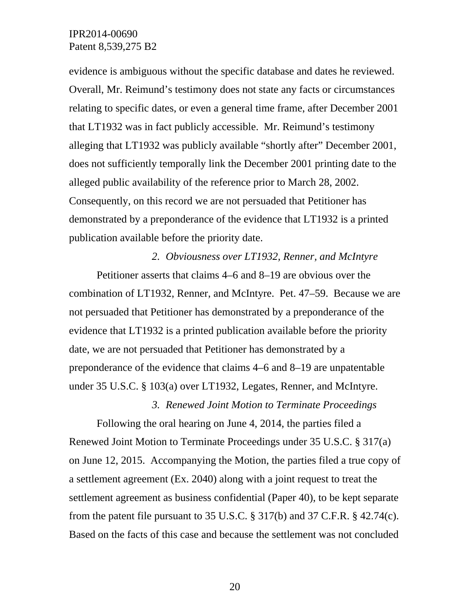evidence is ambiguous without the specific database and dates he reviewed. Overall, Mr. Reimund's testimony does not state any facts or circumstances relating to specific dates, or even a general time frame, after December 2001 that LT1932 was in fact publicly accessible. Mr. Reimund's testimony alleging that LT1932 was publicly available "shortly after" December 2001, does not sufficiently temporally link the December 2001 printing date to the alleged public availability of the reference prior to March 28, 2002. Consequently, on this record we are not persuaded that Petitioner has demonstrated by a preponderance of the evidence that LT1932 is a printed publication available before the priority date.

#### *2. Obviousness over LT1932, Renner, and McIntyre*

Petitioner asserts that claims 4–6 and 8–19 are obvious over the combination of LT1932, Renner, and McIntyre. Pet. 47–59. Because we are not persuaded that Petitioner has demonstrated by a preponderance of the evidence that LT1932 is a printed publication available before the priority date, we are not persuaded that Petitioner has demonstrated by a preponderance of the evidence that claims 4–6 and 8–19 are unpatentable under 35 U.S.C. § 103(a) over LT1932, Legates, Renner, and McIntyre.

*3. Renewed Joint Motion to Terminate Proceedings* 

Following the oral hearing on June 4, 2014, the parties filed a Renewed Joint Motion to Terminate Proceedings under 35 U.S.C. § 317(a) on June 12, 2015. Accompanying the Motion, the parties filed a true copy of a settlement agreement (Ex. 2040) along with a joint request to treat the settlement agreement as business confidential (Paper 40), to be kept separate from the patent file pursuant to 35 U.S.C.  $\S 317(b)$  and 37 C.F.R.  $\S 42.74(c)$ . Based on the facts of this case and because the settlement was not concluded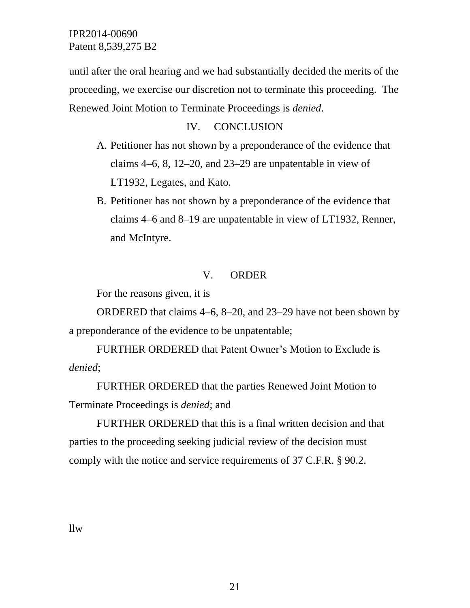until after the oral hearing and we had substantially decided the merits of the proceeding, we exercise our discretion not to terminate this proceeding. The Renewed Joint Motion to Terminate Proceedings is *denied*.

### IV. CONCLUSION

- A. Petitioner has not shown by a preponderance of the evidence that claims 4–6, 8, 12–20, and 23–29 are unpatentable in view of LT1932, Legates, and Kato.
- B. Petitioner has not shown by a preponderance of the evidence that claims 4–6 and 8–19 are unpatentable in view of LT1932, Renner, and McIntyre.

### V. ORDER

For the reasons given, it is

ORDERED that claims 4–6, 8–20, and 23–29 have not been shown by a preponderance of the evidence to be unpatentable;

FURTHER ORDERED that Patent Owner's Motion to Exclude is *denied*;

FURTHER ORDERED that the parties Renewed Joint Motion to Terminate Proceedings is *denied*; and

FURTHER ORDERED that this is a final written decision and that parties to the proceeding seeking judicial review of the decision must comply with the notice and service requirements of 37 C.F.R. § 90.2.